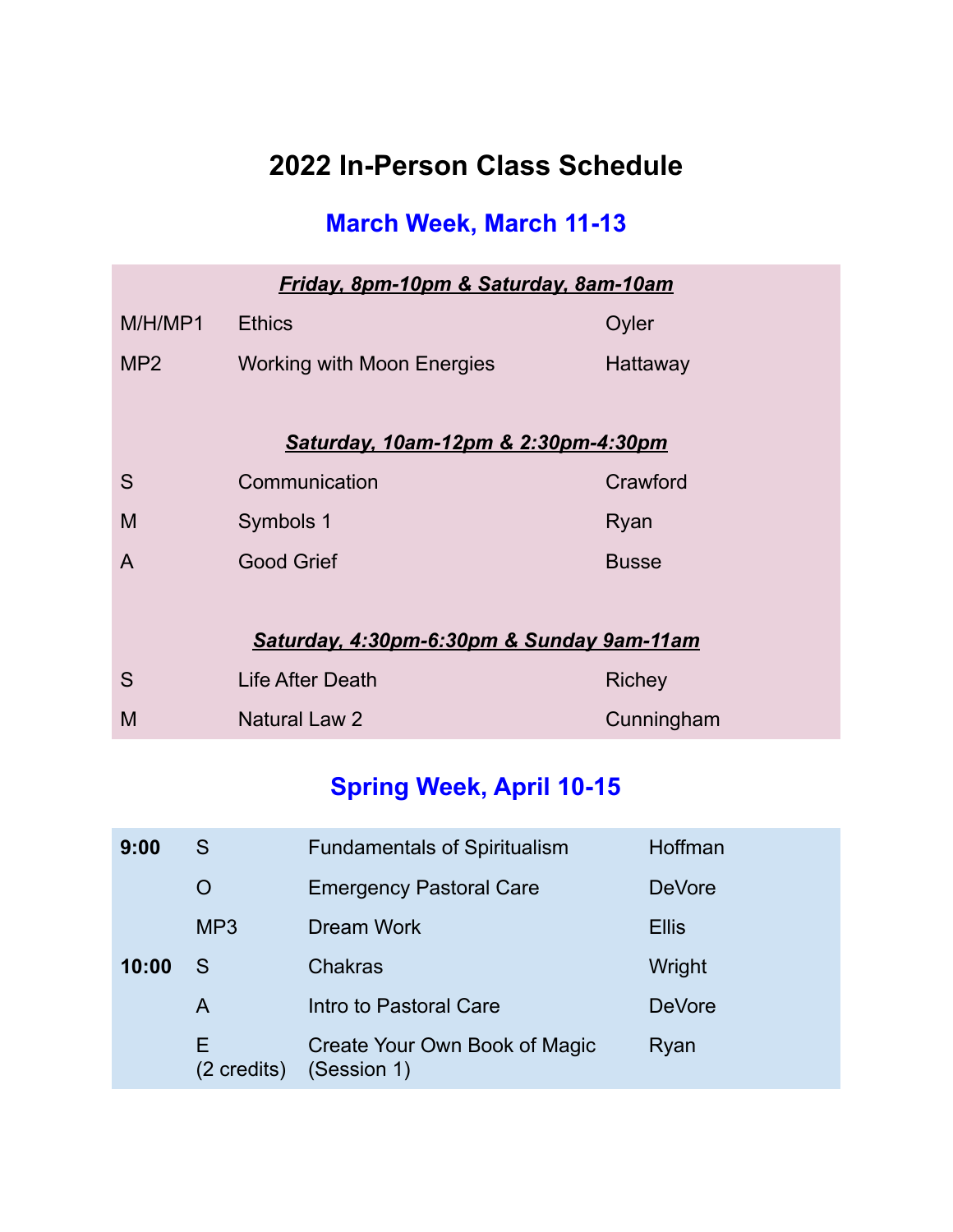## **2022 In-Person Class Schedule**

### **March Week, March 11-13**

| <b>Friday, 8pm-10pm &amp; Saturday, 8am-10am</b> |                                     |              |  |  |
|--------------------------------------------------|-------------------------------------|--------------|--|--|
| M/H/MP1                                          | <b>Ethics</b>                       | Oyler        |  |  |
| MP <sub>2</sub>                                  | <b>Working with Moon Energies</b>   | Hattaway     |  |  |
|                                                  |                                     |              |  |  |
|                                                  | Saturday, 10am-12pm & 2:30pm-4:30pm |              |  |  |
| S                                                | Communication                       | Crawford     |  |  |
| M                                                | Symbols 1                           | Ryan         |  |  |
| A                                                | <b>Good Grief</b>                   | <b>Busse</b> |  |  |
|                                                  |                                     |              |  |  |
| Saturday, 4:30pm-6:30pm & Sunday 9am-11am        |                                     |              |  |  |
| S                                                | Life After Death                    | Richey       |  |  |
| M                                                | Natural Law 2                       | Cunningham   |  |  |

### **Spring Week, April 10-15**

| 9:00  | S                 | <b>Fundamentals of Spiritualism</b>          | <b>Hoffman</b> |
|-------|-------------------|----------------------------------------------|----------------|
|       | Ő                 | <b>Emergency Pastoral Care</b>               | <b>DeVore</b>  |
|       | MP <sub>3</sub>   | <b>Dream Work</b>                            | <b>Ellis</b>   |
| 10:00 | S                 | <b>Chakras</b>                               | Wright         |
|       | A                 | Intro to Pastoral Care                       | <b>DeVore</b>  |
|       | E.<br>(2 credits) | Create Your Own Book of Magic<br>(Session 1) | Ryan           |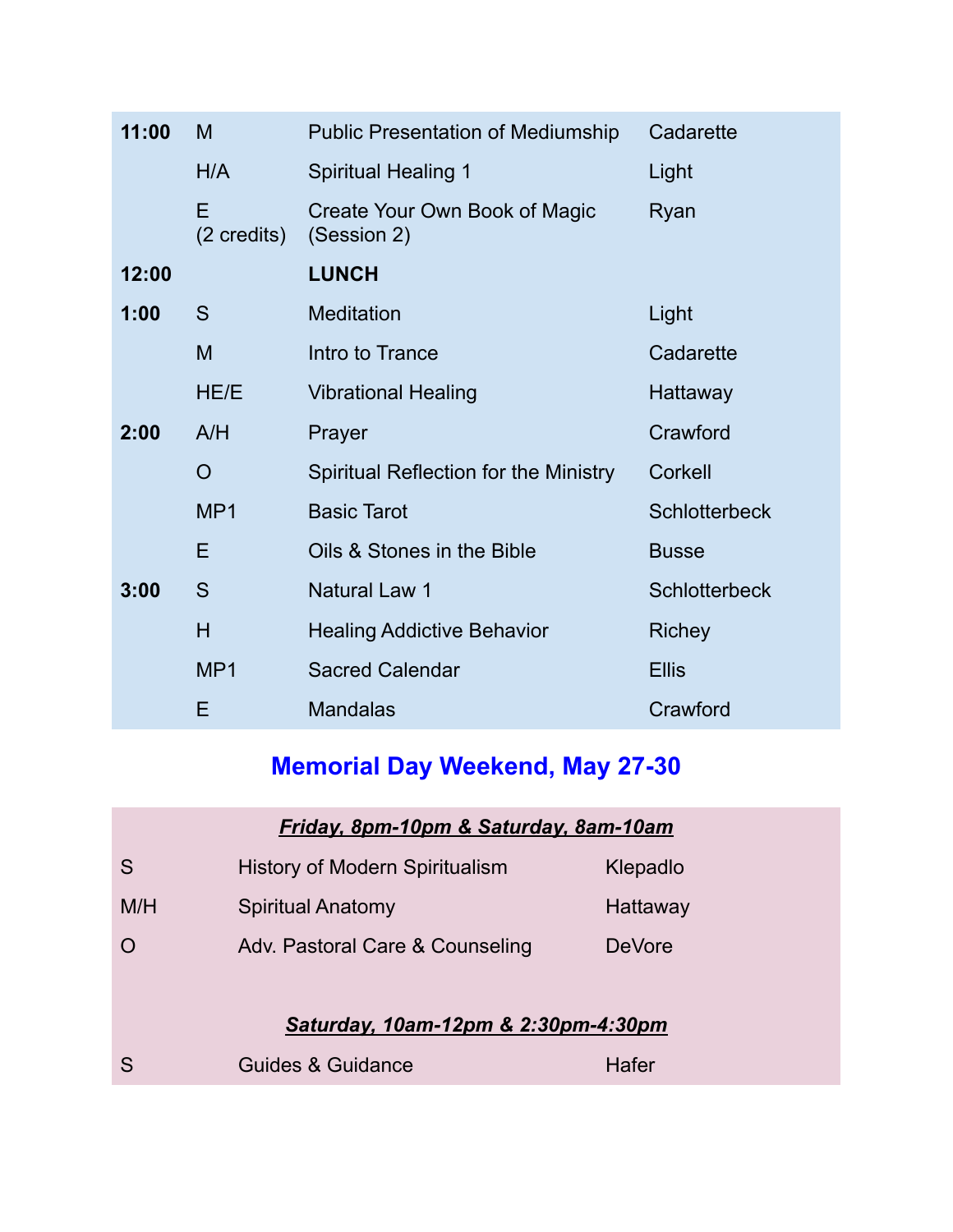| 11:00 | M                          | <b>Public Presentation of Mediumship</b>     | Cadarette            |
|-------|----------------------------|----------------------------------------------|----------------------|
|       | H/A                        | <b>Spiritual Healing 1</b>                   | Light                |
|       | E<br>$(2 \text{ credits})$ | Create Your Own Book of Magic<br>(Session 2) | Ryan                 |
| 12:00 |                            | <b>LUNCH</b>                                 |                      |
| 1:00  | S                          | <b>Meditation</b>                            | Light                |
|       | M                          | Intro to Trance                              | Cadarette            |
|       | HE/E                       | <b>Vibrational Healing</b>                   | Hattaway             |
| 2:00  | A/H                        | Prayer                                       | Crawford             |
|       | O                          | Spiritual Reflection for the Ministry        | Corkell              |
|       | MP1                        | <b>Basic Tarot</b>                           | <b>Schlotterbeck</b> |
|       | E                          | Oils & Stones in the Bible                   | <b>Busse</b>         |
| 3:00  | S                          | <b>Natural Law 1</b>                         | <b>Schlotterbeck</b> |
|       | H                          | <b>Healing Addictive Behavior</b>            | <b>Richey</b>        |
|       | MP1                        | <b>Sacred Calendar</b>                       | <b>Ellis</b>         |
|       | Ε                          | <b>Mandalas</b>                              | Crawford             |

# **Memorial Day Weekend, May 27-30**

| Friday, 8pm-10pm & Saturday, 8am-10am |                                       |               |  |
|---------------------------------------|---------------------------------------|---------------|--|
| S                                     | <b>History of Modern Spiritualism</b> | Klepadlo      |  |
| M/H                                   | <b>Spiritual Anatomy</b>              | Hattaway      |  |
|                                       | Adv. Pastoral Care & Counseling       | <b>DeVore</b> |  |
|                                       |                                       |               |  |
| Saturday, 10am-12pm & 2:30pm-4:30pm   |                                       |               |  |

| Guides & Guidance | Hafer |
|-------------------|-------|
|                   |       |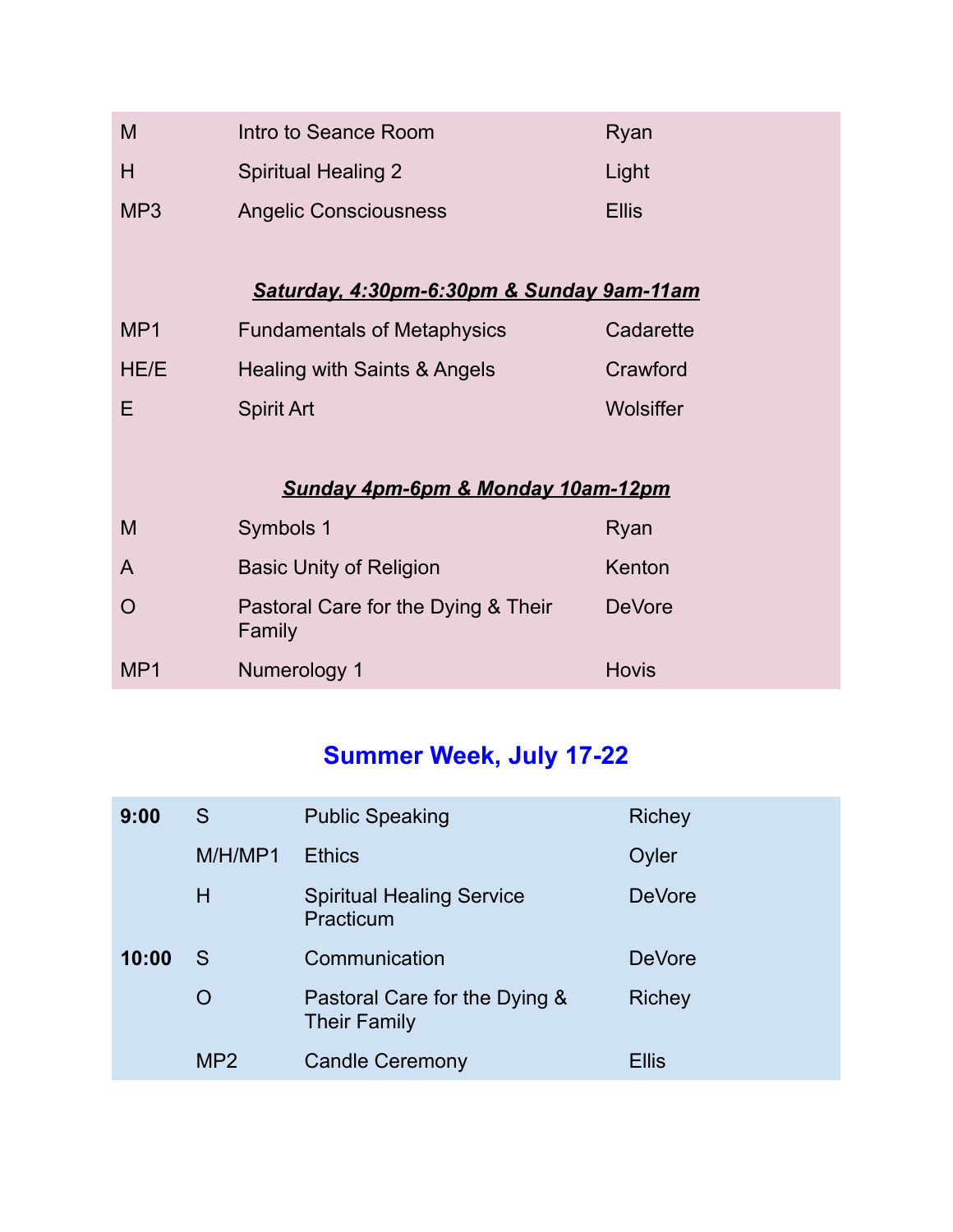| M               | Intro to Seance Room                          | Ryan             |
|-----------------|-----------------------------------------------|------------------|
| H               | <b>Spiritual Healing 2</b>                    | Light            |
| MP <sub>3</sub> | <b>Angelic Consciousness</b>                  | <b>Ellis</b>     |
|                 |                                               |                  |
|                 | Saturday, 4:30pm-6:30pm & Sunday 9am-11am     |                  |
| MP <sub>1</sub> | <b>Fundamentals of Metaphysics</b>            | Cadarette        |
| HE/E            | Healing with Saints & Angels                  | Crawford         |
| E               | <b>Spirit Art</b>                             | <b>Wolsiffer</b> |
|                 |                                               |                  |
|                 | Sunday 4pm-6pm & Monday 10am-12pm             |                  |
| M               | Symbols 1                                     | Ryan             |
| A               | <b>Basic Unity of Religion</b>                | Kenton           |
| $\Omega$        | Pastoral Care for the Dying & Their<br>Family | <b>DeVore</b>    |
| MP1             | Numerology 1                                  | <b>Hovis</b>     |

# **Summer Week, July 17-22**

| 9:00  | S         | <b>Public Speaking</b>                               | Richey        |
|-------|-----------|------------------------------------------------------|---------------|
|       | M/H/MP1   | <b>Ethics</b>                                        | Oyler         |
|       | H         | <b>Spiritual Healing Service</b><br>Practicum        | <b>DeVore</b> |
| 10:00 | S         | Communication                                        | <b>DeVore</b> |
|       | $\bigcap$ | Pastoral Care for the Dying &<br><b>Their Family</b> | Richey        |
|       | MP2       | <b>Candle Ceremony</b>                               | <b>Ellis</b>  |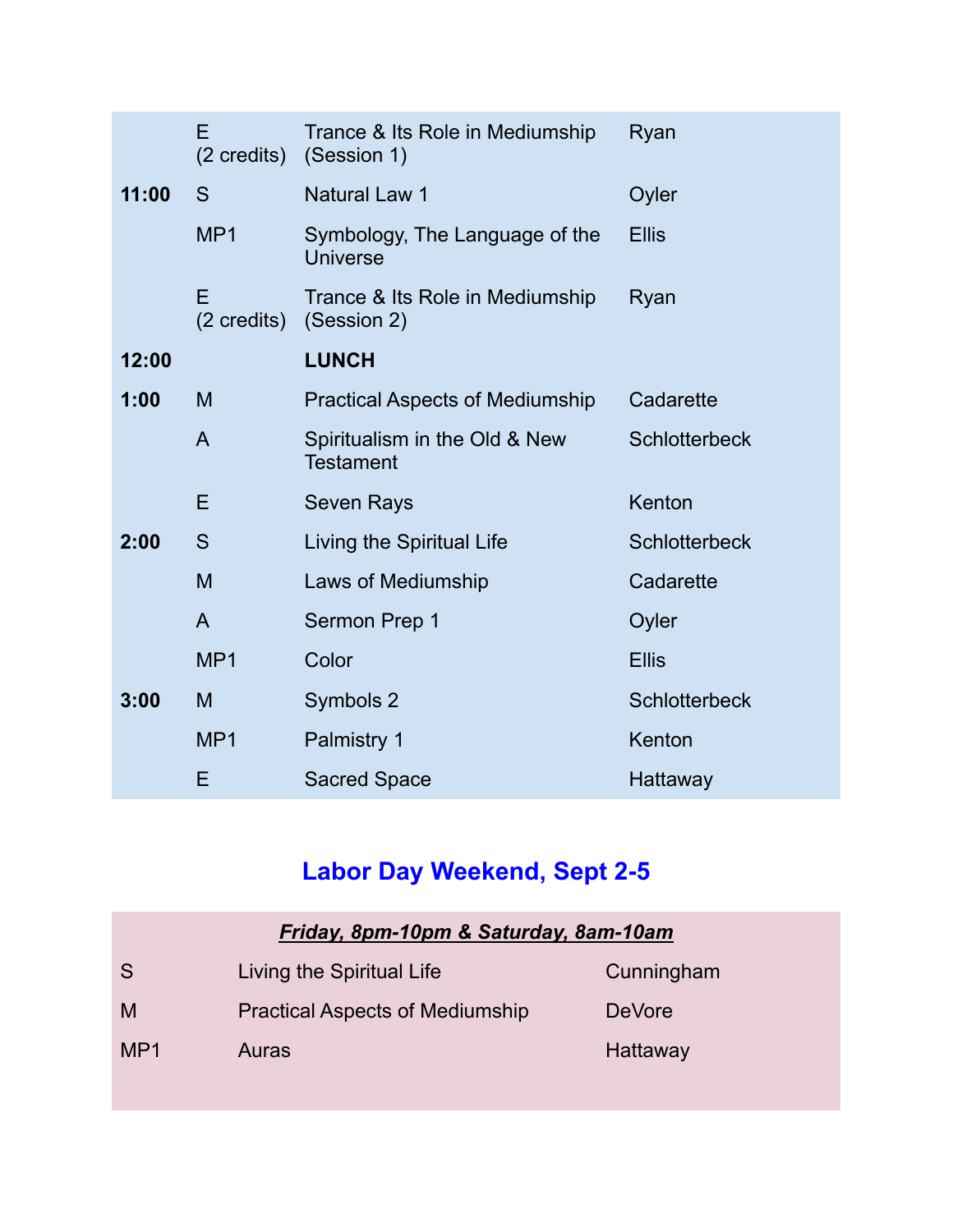|       | E<br>$(2 \text{ credits})$ | Trance & Its Role in Mediumship<br>(Session 1)    | Ryan                 |
|-------|----------------------------|---------------------------------------------------|----------------------|
| 11:00 | S                          | <b>Natural Law 1</b>                              | Oyler                |
|       | MP1                        | Symbology, The Language of the<br>Universe        | <b>Ellis</b>         |
|       | E<br>$(2 \text{ credits})$ | Trance & Its Role in Mediumship<br>(Session 2)    | Ryan                 |
| 12:00 |                            | <b>LUNCH</b>                                      |                      |
| 1:00  | M                          | <b>Practical Aspects of Mediumship</b>            | Cadarette            |
|       | $\mathsf{A}$               | Spiritualism in the Old & New<br><b>Testament</b> | <b>Schlotterbeck</b> |
|       | E                          | <b>Seven Rays</b>                                 | Kenton               |
| 2:00  | S                          | Living the Spiritual Life                         | <b>Schlotterbeck</b> |
|       | M                          | Laws of Mediumship                                | Cadarette            |
|       | $\mathsf{A}$               | Sermon Prep 1                                     | Oyler                |
|       | MP1                        | Color                                             | <b>Ellis</b>         |
| 3:00  | M                          | Symbols 2                                         | <b>Schlotterbeck</b> |
|       | MP <sub>1</sub>            | Palmistry 1                                       | Kenton               |
|       | E                          | <b>Sacred Space</b>                               | Hattaway             |

# **Labor Day Weekend, Sept 2-5**

| Friday, 8pm-10pm & Saturday, 8am-10am |                                        |               |  |
|---------------------------------------|----------------------------------------|---------------|--|
| S                                     | Living the Spiritual Life              | Cunningham    |  |
| M                                     | <b>Practical Aspects of Mediumship</b> | <b>DeVore</b> |  |
| MP <sub>1</sub>                       | Auras                                  | Hattaway      |  |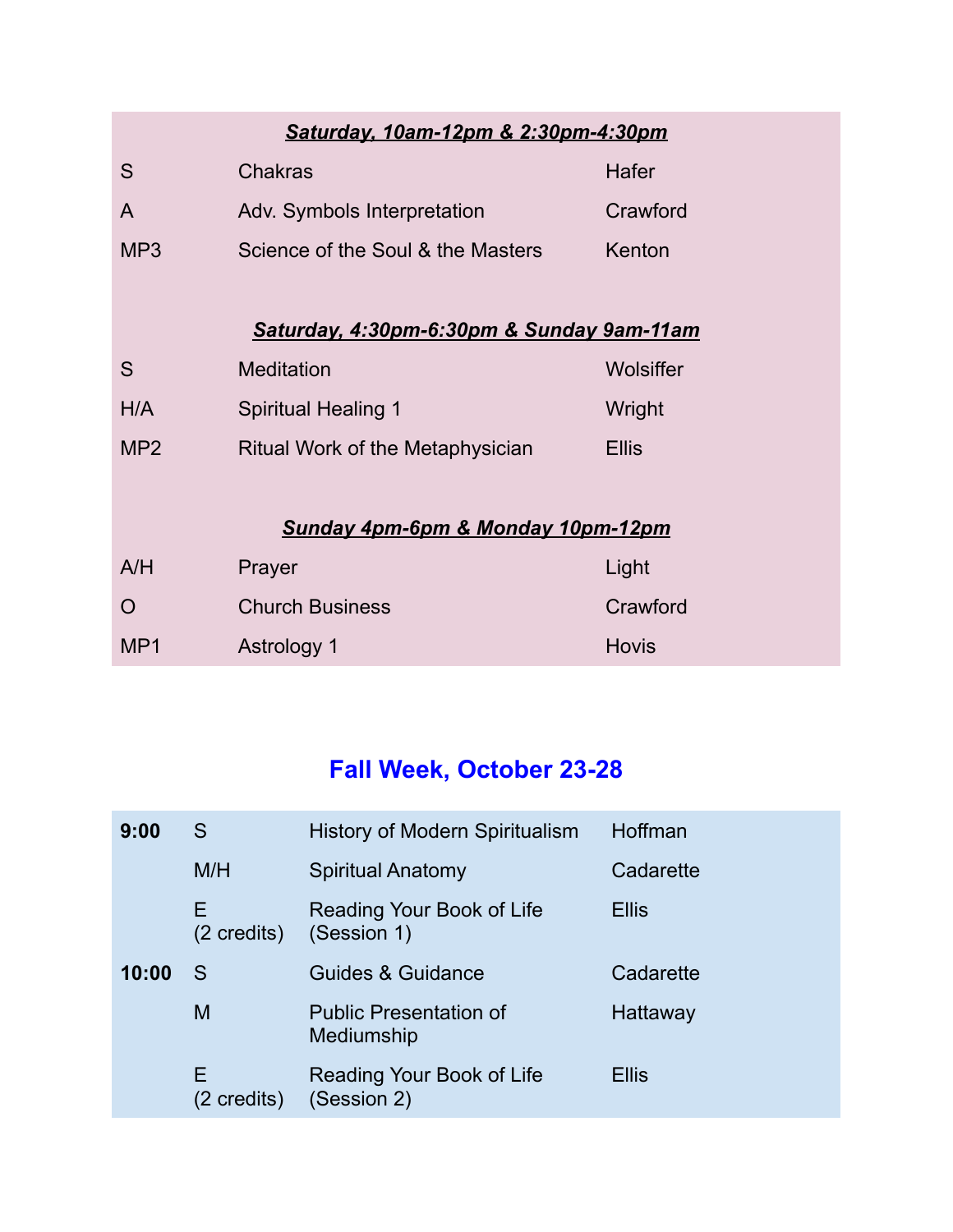#### *Saturday, 10am-12pm & 2:30pm-4:30pm*

| -S              | <b>Chakras</b>                    | Hafer    |
|-----------------|-----------------------------------|----------|
| $\overline{A}$  | Adv. Symbols Interpretation       | Crawford |
| MP <sub>3</sub> | Science of the Soul & the Masters | Kenton   |

#### *Saturday, 4:30pm-6:30pm & Sunday 9am-11am*

| S               | <b>Meditation</b>                | Wolsiffer |
|-----------------|----------------------------------|-----------|
| H/A             | <b>Spiritual Healing 1</b>       | Wright    |
| MP <sub>2</sub> | Ritual Work of the Metaphysician | Ellis     |

#### *Sunday 4pm-6pm & Monday 10pm-12pm*

| A/H             | Prayer                 | Light    |
|-----------------|------------------------|----------|
| $\bigcap$       | <b>Church Business</b> | Crawford |
| MP <sub>1</sub> | Astrology 1            | Hovis    |

### **Fall Week, October 23-28**

| 9:00  | S                          | <b>History of Modern Spiritualism</b>       | Hoffman      |
|-------|----------------------------|---------------------------------------------|--------------|
|       | M/H                        | <b>Spiritual Anatomy</b>                    | Cadarette    |
|       | Ε<br>$(2 \text{ credits})$ | Reading Your Book of Life<br>(Session 1)    | <b>Ellis</b> |
| 10:00 | S                          | Guides & Guidance                           | Cadarette    |
|       | M                          | <b>Public Presentation of</b><br>Mediumship | Hattaway     |
|       | Е<br>(2 credits)           | Reading Your Book of Life<br>(Session 2)    | <b>Ellis</b> |